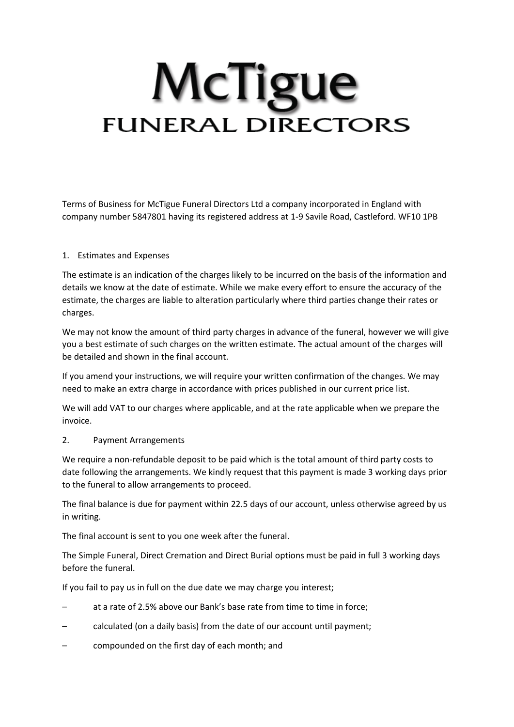# McTigue **FUNERAL DIRECTORS**

Terms of Business for McTigue Funeral Directors Ltd a company incorporated in England with company number 5847801 having its registered address at 1-9 Savile Road, Castleford. WF10 1PB

### 1. Estimates and Expenses

The estimate is an indication of the charges likely to be incurred on the basis of the information and details we know at the date of estimate. While we make every effort to ensure the accuracy of the estimate, the charges are liable to alteration particularly where third parties change their rates or charges.

We may not know the amount of third party charges in advance of the funeral, however we will give you a best estimate of such charges on the written estimate. The actual amount of the charges will be detailed and shown in the final account.

If you amend your instructions, we will require your written confirmation of the changes. We may need to make an extra charge in accordance with prices published in our current price list.

We will add VAT to our charges where applicable, and at the rate applicable when we prepare the invoice.

#### 2. Payment Arrangements

We require a non-refundable deposit to be paid which is the total amount of third party costs to date following the arrangements. We kindly request that this payment is made 3 working days prior to the funeral to allow arrangements to proceed.

The final balance is due for payment within 22.5 days of our account, unless otherwise agreed by us in writing.

The final account is sent to you one week after the funeral.

The Simple Funeral, Direct Cremation and Direct Burial options must be paid in full 3 working days before the funeral.

If you fail to pay us in full on the due date we may charge you interest;

- at a rate of 2.5% above our Bank's base rate from time to time in force;
- calculated (on a daily basis) from the date of our account until payment;
- compounded on the first day of each month; and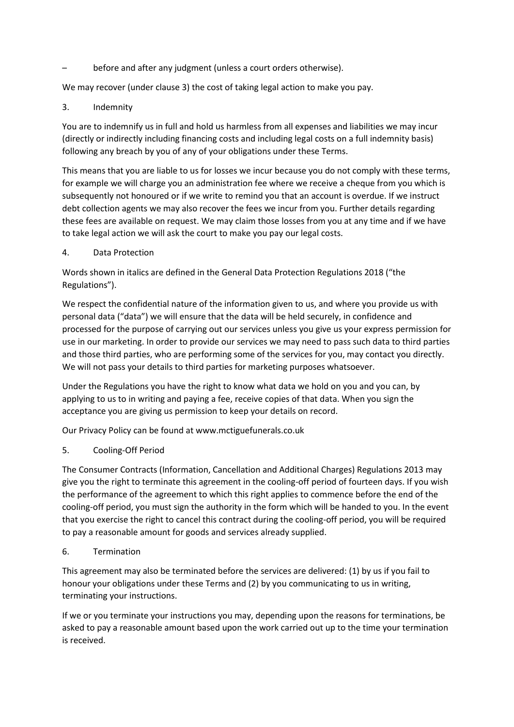before and after any judgment (unless a court orders otherwise).

We may recover (under clause 3) the cost of taking legal action to make you pay.

## 3. Indemnity

You are to indemnify us in full and hold us harmless from all expenses and liabilities we may incur (directly or indirectly including financing costs and including legal costs on a full indemnity basis) following any breach by you of any of your obligations under these Terms.

This means that you are liable to us for losses we incur because you do not comply with these terms, for example we will charge you an administration fee where we receive a cheque from you which is subsequently not honoured or if we write to remind you that an account is overdue. If we instruct debt collection agents we may also recover the fees we incur from you. Further details regarding these fees are available on request. We may claim those losses from you at any time and if we have to take legal action we will ask the court to make you pay our legal costs.

### 4. Data Protection

Words shown in italics are defined in the General Data Protection Regulations 2018 ("the Regulations").

We respect the confidential nature of the information given to us, and where you provide us with personal data ("data") we will ensure that the data will be held securely, in confidence and processed for the purpose of carrying out our services unless you give us your express permission for use in our marketing. In order to provide our services we may need to pass such data to third parties and those third parties, who are performing some of the services for you, may contact you directly. We will not pass your details to third parties for marketing purposes whatsoever.

Under the Regulations you have the right to know what data we hold on you and you can, by applying to us to in writing and paying a fee, receive copies of that data. When you sign the acceptance you are giving us permission to keep your details on record.

Our Privacy Policy can be found at www.mctiguefunerals.co.uk

### 5. Cooling-Off Period

The Consumer Contracts (Information, Cancellation and Additional Charges) Regulations 2013 may give you the right to terminate this agreement in the cooling-off period of fourteen days. If you wish the performance of the agreement to which this right applies to commence before the end of the cooling-off period, you must sign the authority in the form which will be handed to you. In the event that you exercise the right to cancel this contract during the cooling-off period, you will be required to pay a reasonable amount for goods and services already supplied.

### 6. Termination

This agreement may also be terminated before the services are delivered: (1) by us if you fail to honour your obligations under these Terms and (2) by you communicating to us in writing, terminating your instructions.

If we or you terminate your instructions you may, depending upon the reasons for terminations, be asked to pay a reasonable amount based upon the work carried out up to the time your termination is received.